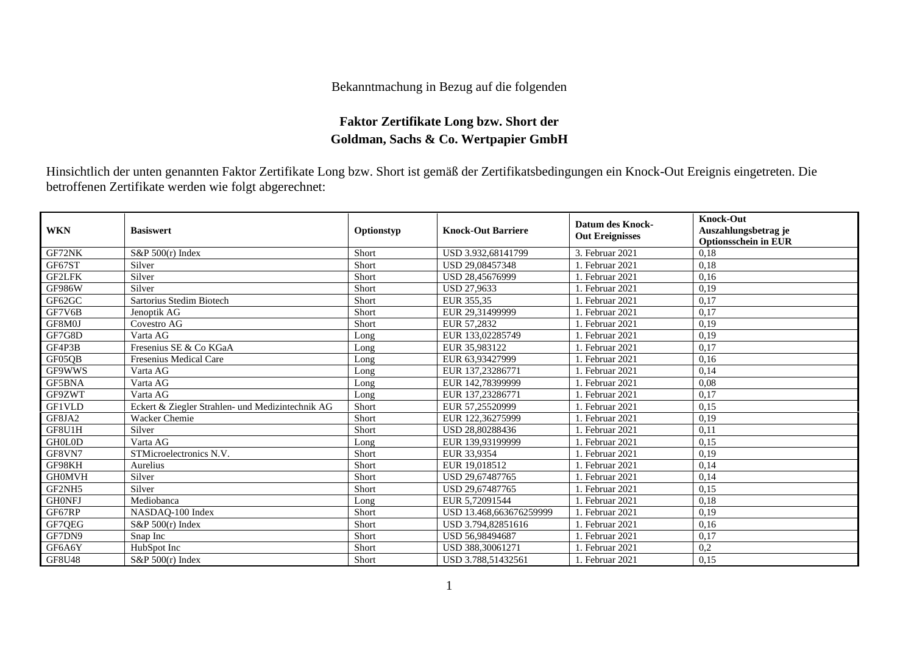## Bekanntmachung in Bezug auf die folgenden

## **Faktor Zertifikate Long bzw. Short der Goldman, Sachs & Co. Wertpapier GmbH**

Hinsichtlich der unten genannten Faktor Zertifikate Long bzw. Short ist gemäß der Zertifikatsbedingungen ein Knock-Out Ereignis eingetreten. Die betroffenen Zertifikate werden wie folgt abgerechnet:

| <b>WKN</b>    | <b>Basiswert</b>                                 | Optionstyp | <b>Knock-Out Barriere</b> | <b>Datum des Knock-</b><br><b>Out Ereignisses</b> | <b>Knock-Out</b><br>Auszahlungsbetrag je<br><b>Optionsschein in EUR</b> |
|---------------|--------------------------------------------------|------------|---------------------------|---------------------------------------------------|-------------------------------------------------------------------------|
| GF72NK        | $S\&P 500(r)$ Index                              | Short      | USD 3.932.68141799        | 3. Februar 2021                                   | 0.18                                                                    |
| GF67ST        | Silver                                           | Short      | USD 29,08457348           | 1. Februar 2021                                   | 0,18                                                                    |
| <b>GF2LFK</b> | Silver                                           | Short      | USD 28,45676999           | 1. Februar 2021                                   | 0,16                                                                    |
| <b>GF986W</b> | Silver                                           | Short      | <b>USD 27.9633</b>        | 1. Februar 2021                                   | 0,19                                                                    |
| GF62GC        | Sartorius Stedim Biotech                         | Short      | EUR 355.35                | 1. Februar 2021                                   | 0.17                                                                    |
| GF7V6B        | Jenoptik AG                                      | Short      | EUR 29,31499999           | 1. Februar 2021                                   | 0,17                                                                    |
| GF8M0J        | Covestro AG                                      | Short      | EUR 57,2832               | 1. Februar 2021                                   | 0,19                                                                    |
| GF7G8D        | Varta AG                                         | Long       | EUR 133,02285749          | 1. Februar 2021                                   | 0,19                                                                    |
| GF4P3B        | Fresenius SE & Co KGaA                           | Long       | EUR 35,983122             | 1. Februar 2021                                   | 0,17                                                                    |
| GF05QB        | Fresenius Medical Care                           | Long       | EUR 63.93427999           | 1. Februar 2021                                   | 0,16                                                                    |
| GF9WWS        | Varta AG                                         | Long       | EUR 137,23286771          | 1. Februar 2021                                   | 0,14                                                                    |
| GF5BNA        | Varta AG                                         | Long       | EUR 142,78399999          | 1. Februar 2021                                   | 0,08                                                                    |
| GF9ZWT        | Varta AG                                         | Long       | EUR 137,23286771          | Februar 2021                                      | 0,17                                                                    |
| <b>GF1VLD</b> | Eckert & Ziegler Strahlen- und Medizintechnik AG | Short      | EUR 57.25520999           | . Februar 2021                                    | 0,15                                                                    |
| GF8JA2        | Wacker Chemie                                    | Short      | EUR 122,36275999          | 1. Februar 2021                                   | 0.19                                                                    |
| GF8U1H        | Silver                                           | Short      | USD 28,80288436           | 1. Februar 2021                                   | 0,11                                                                    |
| <b>GHOLOD</b> | Varta AG                                         | Long       | EUR 139,93199999          | 1. Februar 2021                                   | 0,15                                                                    |
| GF8VN7        | STMicroelectronics N.V.                          | Short      | EUR 33,9354               | Februar 2021                                      | 0,19                                                                    |
| GF98KH        | Aurelius                                         | Short      | EUR 19.018512             | 1. Februar 2021                                   | 0.14                                                                    |
| <b>GH0MVH</b> | Silver                                           | Short      | USD 29,67487765           | 1. Februar 2021                                   | 0,14                                                                    |
| GF2NH5        | Silver                                           | Short      | USD 29,67487765           | Februar 2021                                      | 0,15                                                                    |
| <b>GHONFJ</b> | Mediobanca                                       | Long       | EUR 5,72091544            | Februar 2021                                      | 0,18                                                                    |
| GF67RP        | NASDAQ-100 Index                                 | Short      | USD 13.468.663676259999   | 1. Februar 2021                                   | 0,19                                                                    |
| GF7QEG        | $S\&P 500(r)$ Index                              | Short      | USD 3.794.82851616        | Februar 2021                                      | 0,16                                                                    |
| GF7DN9        | Snap Inc                                         | Short      | USD 56,98494687           | . Februar 2021                                    | 0,17                                                                    |
| GF6A6Y        | HubSpot Inc                                      | Short      | USD 388,30061271          | Februar 2021                                      | 0,2                                                                     |
| <b>GF8U48</b> | $S\&P 500(r)$ Index                              | Short      | USD 3.788.51432561        | 1. Februar 2021                                   | 0,15                                                                    |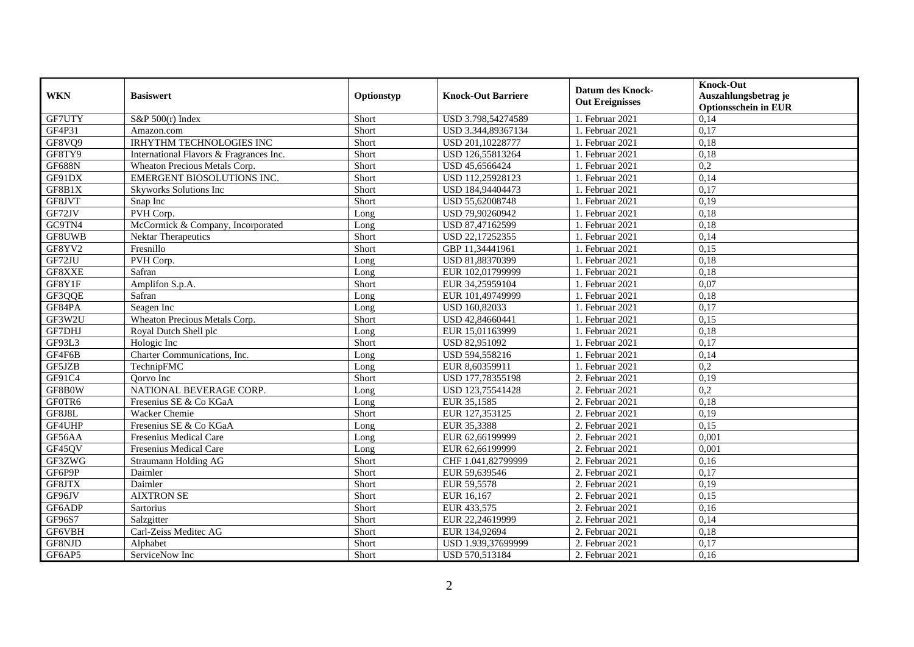| <b>WKN</b>    | <b>Basiswert</b>                        | Optionstyp | <b>Knock-Out Barriere</b> | <b>Datum des Knock-</b><br><b>Out Ereignisses</b> | <b>Knock-Out</b><br>Auszahlungsbetrag je<br><b>Optionsschein in EUR</b> |
|---------------|-----------------------------------------|------------|---------------------------|---------------------------------------------------|-------------------------------------------------------------------------|
| GF7UTY        | S&P $500(r)$ Index                      | Short      | USD 3.798,54274589        | 1. Februar 2021                                   | 0,14                                                                    |
| GF4P31        | Amazon.com                              | Short      | USD 3.344,89367134        | 1. Februar 2021                                   | 0,17                                                                    |
| GF8VQ9        | <b>IRHYTHM TECHNOLOGIES INC</b>         | Short      | USD 201,10228777          | 1. Februar 2021                                   | 0,18                                                                    |
| GF8TY9        | International Flavors & Fragrances Inc. | Short      | USD 126,55813264          | 1. Februar 2021                                   | 0,18                                                                    |
| <b>GF688N</b> | Wheaton Precious Metals Corp.           | Short      | USD 45,6566424            | 1. Februar 2021                                   | $\overline{0,2}$                                                        |
| GF91DX        | EMERGENT BIOSOLUTIONS INC.              | Short      | USD 112,25928123          | 1. Februar 2021                                   | 0,14                                                                    |
| GF8B1X        | Skyworks Solutions Inc                  | Short      | USD 184,94404473          | 1. Februar 2021                                   | 0,17                                                                    |
| GF8JVT        | Snap Inc                                | Short      | USD 55,62008748           | 1. Februar 2021                                   | 0,19                                                                    |
| GF72JV        | PVH Corp.                               | Long       | USD 79,90260942           | 1. Februar 2021                                   | 0,18                                                                    |
| GC9TN4        | McCormick & Company, Incorporated       | Long       | USD 87,47162599           | 1. Februar 2021                                   | 0,18                                                                    |
| GF8UWB        | Nektar Therapeutics                     | Short      | USD 22,17252355           | 1. Februar 2021                                   | 0,14                                                                    |
| GF8YV2        | Fresnillo                               | Short      | GBP 11,34441961           | 1. Februar 2021                                   | 0,15                                                                    |
| GF72JU        | PVH Corp.                               | Long       | USD 81,88370399           | 1. Februar 2021                                   | 0,18                                                                    |
| GF8XXE        | Safran                                  | Long       | EUR 102,01799999          | 1. Februar 2021                                   | 0,18                                                                    |
| GF8Y1F        | Amplifon S.p.A.                         | Short      | EUR 34,25959104           | 1. Februar 2021                                   | 0,07                                                                    |
| GF3QQE        | Safran                                  | Long       | EUR 101,49749999          | 1. Februar $2021$                                 | 0,18                                                                    |
| GF84PA        | Seagen Inc                              | Long       | USD 160,82033             | 1. Februar 2021                                   | 0,17                                                                    |
| GF3W2U        | Wheaton Precious Metals Corp.           | Short      | USD 42,84660441           | 1. Februar 2021                                   | 0.15                                                                    |
| GF7DHJ        | Royal Dutch Shell plc                   | Long       | EUR 15,01163999           | 1. Februar 2021                                   | 0,18                                                                    |
| GF93L3        | Hologic Inc                             | Short      | USD 82,951092             | 1. Februar 2021                                   | 0,17                                                                    |
| GF4F6B        | Charter Communications, Inc.            | Long       | USD 594,558216            | 1. Februar 2021                                   | 0,14                                                                    |
| GF5JZB        | TechnipFMC                              | Long       | EUR 8,60359911            | 1. Februar 2021                                   | $\overline{0,2}$                                                        |
| GF91C4        | Oorvo Inc                               | Short      | USD 177,78355198          | 2. Februar 2021                                   | 0,19                                                                    |
| GF8B0W        | NATIONAL BEVERAGE CORP.                 | Long       | USD 123,75541428          | 2. Februar 2021                                   | 0,2                                                                     |
| GF0TR6        | Fresenius SE & Co KGaA                  | Long       | EUR 35,1585               | 2. Februar 2021                                   | 0,18                                                                    |
| GF8J8L        | Wacker Chemie                           | Short      | EUR 127,353125            | 2. Februar 2021                                   | 0,19                                                                    |
| GF4UHP        | Fresenius SE & Co KGaA                  | Long       | EUR 35,3388               | 2. Februar 2021                                   | 0,15                                                                    |
| GF56AA        | Fresenius Medical Care                  | Long       | EUR 62,66199999           | 2. Februar 2021                                   | 0,001                                                                   |
| GF45QV        | Fresenius Medical Care                  | Long       | EUR 62,66199999           | 2. Februar 2021                                   | 0,001                                                                   |
| GF3ZWG        | Straumann Holding AG                    | Short      | CHF 1.041,82799999        | 2. Februar 2021                                   | 0,16                                                                    |
| GF6P9P        | Daimler                                 | Short      | EUR 59,639546             | 2. Februar 2021                                   | 0,17                                                                    |
| GF8JTX        | Daimler                                 | Short      | EUR 59,5578               | 2. Februar 2021                                   | 0,19                                                                    |
| GF96JV        | <b>AIXTRON SE</b>                       | Short      | EUR 16,167                | 2. Februar 2021                                   | 0,15                                                                    |
| GF6ADP        | Sartorius                               | Short      | EUR 433,575               | 2. Februar 2021                                   | 0,16                                                                    |
| GF96S7        | Salzgitter                              | Short      | EUR 22,24619999           | 2. Februar 2021                                   | 0,14                                                                    |
| GF6VBH        | Carl-Zeiss Meditec AG                   | Short      | EUR 134,92694             | 2. Februar 2021                                   | 0,18                                                                    |
| GF8NJD        | Alphabet                                | Short      | USD 1.939,37699999        | 2. Februar 2021                                   | 0,17                                                                    |
| GF6AP5        | ServiceNow Inc                          | Short      | USD 570,513184            | 2. Februar 2021                                   | 0,16                                                                    |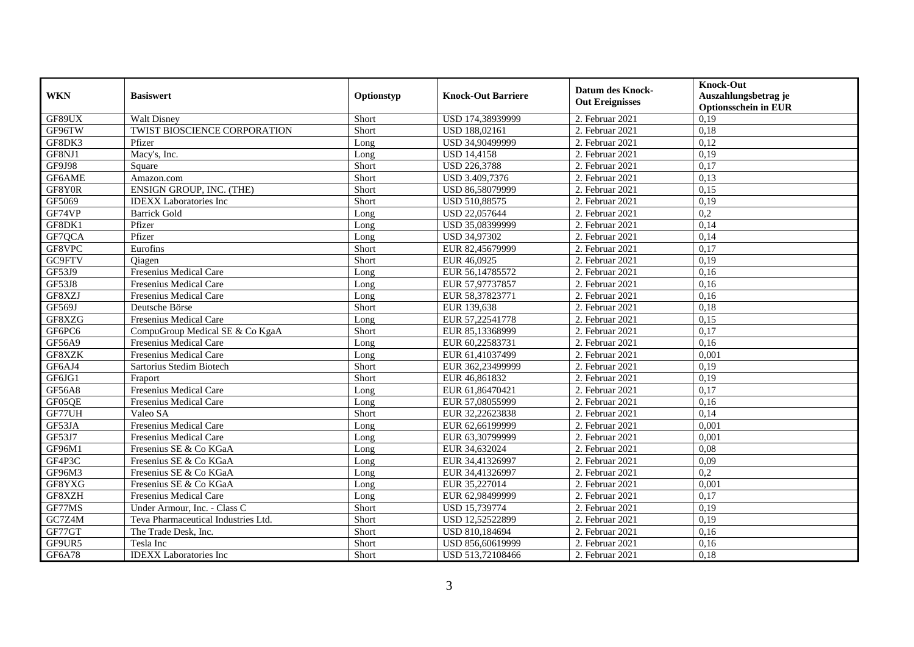| <b>WKN</b>    | <b>Basiswert</b>                    | Optionstyp | <b>Knock-Out Barriere</b> | <b>Datum des Knock-</b><br><b>Out Ereignisses</b> | <b>Knock-Out</b><br>Auszahlungsbetrag je<br><b>Optionsschein in EUR</b> |
|---------------|-------------------------------------|------------|---------------------------|---------------------------------------------------|-------------------------------------------------------------------------|
| GF89UX        | <b>Walt Disney</b>                  | Short      | USD 174,38939999          | 2. Februar 2021                                   | 0,19                                                                    |
| GF96TW        | TWIST BIOSCIENCE CORPORATION        | Short      | USD 188,02161             | 2. Februar 2021                                   | 0,18                                                                    |
| GF8DK3        | Pfizer                              | Long       | USD 34,90499999           | 2. Februar 2021                                   | 0,12                                                                    |
| GF8NJ1        | Macy's, Inc.                        | Long       | <b>USD 14,4158</b>        | 2. Februar 2021                                   | 0,19                                                                    |
| <b>GF9J98</b> | Square                              | Short      | <b>USD 226,3788</b>       | 2. Februar 2021                                   | 0,17                                                                    |
| GF6AME        | Amazon.com                          | Short      | USD 3.409,7376            | 2. Februar 2021                                   | 0,13                                                                    |
| GF8Y0R        | ENSIGN GROUP, INC. (THE)            | Short      | USD 86,58079999           | 2. Februar 2021                                   | 0,15                                                                    |
| GF5069        | <b>IDEXX</b> Laboratories Inc       | Short      | USD 510,88575             | 2. Februar 2021                                   | 0,19                                                                    |
| GF74VP        | <b>Barrick Gold</b>                 | Long       | USD 22,057644             | 2. Februar 2021                                   | 0,2                                                                     |
| GF8DK1        | Pfizer                              | Long       | USD 35,08399999           | 2. Februar 2021                                   | 0,14                                                                    |
| GF7QCA        | Pfizer                              | Long       | USD 34,97302              | 2. Februar 2021                                   | 0,14                                                                    |
| GF8VPC        | Eurofins                            | Short      | EUR 82,45679999           | 2. Februar 2021                                   | 0,17                                                                    |
| GC9FTV        | Oiagen                              | Short      | EUR 46,0925               | 2. Februar 2021                                   | 0,19                                                                    |
| GF53J9        | Fresenius Medical Care              | Long       | EUR 56,14785572           | 2. Februar 2021                                   | 0,16                                                                    |
| GF53J8        | Fresenius Medical Care              | Long       | EUR 57,97737857           | 2. Februar 2021                                   | 0,16                                                                    |
| GF8XZJ        | Fresenius Medical Care              | Long       | EUR 58,37823771           | 2. Februar 2021                                   | 0,16                                                                    |
| GF569J        | Deutsche Börse                      | Short      | EUR 139,638               | 2. Februar 2021                                   | 0,18                                                                    |
| GF8XZG        | Fresenius Medical Care              | Long       | EUR 57,22541778           | 2. Februar 2021                                   | 0.15                                                                    |
| GF6PC6        | CompuGroup Medical SE & Co KgaA     | Short      | EUR 85,13368999           | 2. Februar 2021                                   | 0,17                                                                    |
| GF56A9        | Fresenius Medical Care              | Long       | EUR 60,22583731           | 2. Februar 2021                                   | 0,16                                                                    |
| GF8XZK        | Fresenius Medical Care              | Long       | EUR 61,41037499           | 2. Februar 2021                                   | 0,001                                                                   |
| GF6AJ4        | Sartorius Stedim Biotech            | Short      | EUR 362,23499999          | 2. Februar 2021                                   | 0,19                                                                    |
| GF6JG1        | Fraport                             | Short      | EUR 46,861832             | 2. Februar 2021                                   | 0,19                                                                    |
| <b>GF56A8</b> | <b>Fresenius Medical Care</b>       | Long       | EUR 61,86470421           | 2. Februar 2021                                   | 0,17                                                                    |
| GF05QE        | Fresenius Medical Care              | Long       | EUR 57,08055999           | 2. Februar 2021                                   | 0,16                                                                    |
| GF77UH        | Valeo SA                            | Short      | EUR 32,22623838           | 2. Februar 2021                                   | 0,14                                                                    |
| GF53JA        | Fresenius Medical Care              | Long       | EUR 62,66199999           | 2. Februar 2021                                   | 0,001                                                                   |
| GF53J7        | Fresenius Medical Care              | Long       | EUR 63,30799999           | 2. Februar 2021                                   | 0,001                                                                   |
| GF96M1        | Fresenius SE & Co KGaA              | Long       | EUR 34,632024             | 2. Februar 2021                                   | 0.08                                                                    |
| GF4P3C        | Fresenius SE & Co KGaA              | Long       | EUR 34,41326997           | 2. Februar 2021                                   | 0,09                                                                    |
| GF96M3        | Fresenius SE & Co KGaA              | Long       | EUR 34,41326997           | 2. Februar 2021                                   | 0,2                                                                     |
| GF8YXG        | Fresenius SE & Co KGaA              | Long       | EUR 35,227014             | 2. Februar 2021                                   | 0,001                                                                   |
| GF8XZH        | Fresenius Medical Care              | Long       | EUR 62,98499999           | 2. Februar 2021                                   | 0,17                                                                    |
| GF77MS        | Under Armour, Inc. - Class C        | Short      | USD 15,739774             | 2. Februar 2021                                   | 0,19                                                                    |
| GC7Z4M        | Teva Pharmaceutical Industries Ltd. | Short      | USD 12,52522899           | 2. Februar 2021                                   | 0,19                                                                    |
| GF77GT        | The Trade Desk, Inc.                | Short      | USD 810,184694            | 2. Februar 2021                                   | 0,16                                                                    |
| GF9UR5        | Tesla Inc                           | Short      | USD 856,60619999          | 2. Februar 2021                                   | 0,16                                                                    |
| <b>GF6A78</b> | <b>IDEXX</b> Laboratories Inc       | Short      | USD 513,72108466          | 2. Februar 2021                                   | 0,18                                                                    |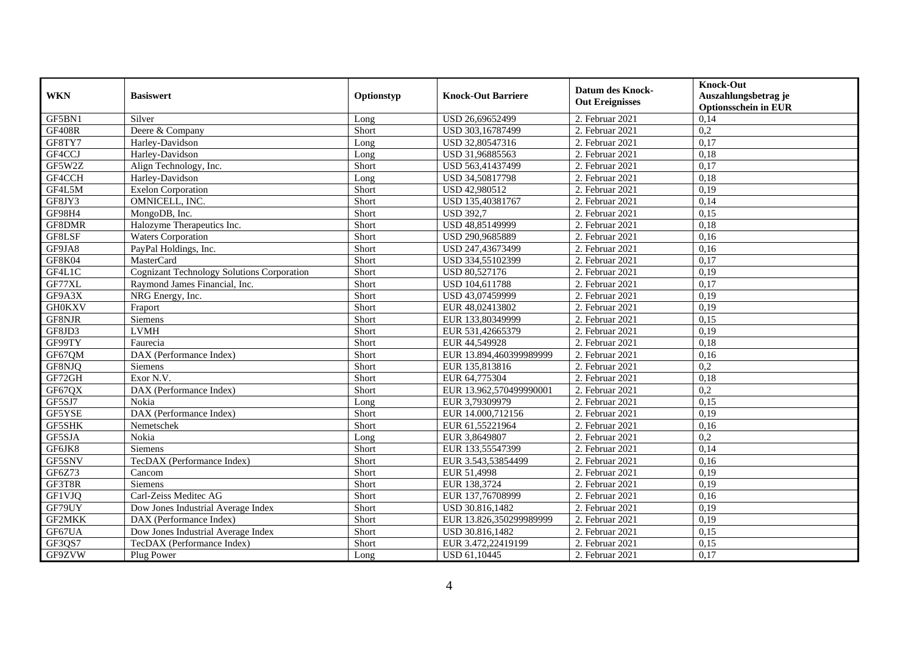| <b>WKN</b>    | <b>Basiswert</b>                                  | Optionstyp | <b>Knock-Out Barriere</b> | <b>Datum des Knock-</b><br><b>Out Ereignisses</b> | <b>Knock-Out</b><br>Auszahlungsbetrag je<br><b>Optionsschein in EUR</b> |
|---------------|---------------------------------------------------|------------|---------------------------|---------------------------------------------------|-------------------------------------------------------------------------|
| GF5BN1        | Silver                                            | Long       | USD 26,69652499           | 2. Februar 2021                                   | 0,14                                                                    |
| <b>GF408R</b> | Deere & Company                                   | Short      | USD 303,16787499          | 2. Februar 2021                                   | $\overline{0.2}$                                                        |
| GF8TY7        | Harley-Davidson                                   | Long       | USD 32,80547316           | 2. Februar 2021                                   | 0,17                                                                    |
| GF4CCJ        | Harley-Davidson                                   | Long       | USD 31,96885563           | 2. Februar 2021                                   | 0,18                                                                    |
| GF5W2Z        | Align Technology, Inc.                            | Short      | USD 563,41437499          | 2. Februar 2021                                   | 0,17                                                                    |
| GF4CCH        | Harley-Davidson                                   | Long       | USD 34,50817798           | 2. Februar 2021                                   | 0,18                                                                    |
| GF4L5M        | <b>Exelon Corporation</b>                         | Short      | USD 42,980512             | 2. Februar 2021                                   | 0,19                                                                    |
| GF8JY3        | OMNICELL, INC.                                    | Short      | USD 135,40381767          | 2. Februar 2021                                   | 0,14                                                                    |
| GF98H4        | MongoDB, Inc.                                     | Short      | <b>USD 392,7</b>          | 2. Februar 2021                                   | 0,15                                                                    |
| GF8DMR        | Halozyme Therapeutics Inc.                        | Short      | USD 48,85149999           | 2. Februar 2021                                   | 0,18                                                                    |
| GF8LSF        | <b>Waters Corporation</b>                         | Short      | USD 290,9685889           | 2. Februar 2021                                   | 0,16                                                                    |
| GF9JA8        | PayPal Holdings, Inc.                             | Short      | USD 247,43673499          | 2. Februar 2021                                   | 0,16                                                                    |
| GF8K04        | MasterCard                                        | Short      | USD 334,55102399          | 2. Februar 2021                                   | 0,17                                                                    |
| GF4L1C        | <b>Cognizant Technology Solutions Corporation</b> | Short      | USD 80,527176             | 2. Februar 2021                                   | 0,19                                                                    |
| GF77XL        | Raymond James Financial, Inc.                     | Short      | USD 104,611788            | 2. Februar 2021                                   | 0,17                                                                    |
| GF9A3X        | NRG Energy, Inc.                                  | Short      | USD 43,07459999           | 2. Februar 2021                                   | 0,19                                                                    |
| <b>GH0KXV</b> | Fraport                                           | Short      | EUR 48,02413802           | 2. Februar 2021                                   | 0,19                                                                    |
| GF8NJR        | Siemens                                           | Short      | EUR 133,80349999          | 2. Februar 2021                                   | 0.15                                                                    |
| GF8JD3        | <b>LVMH</b>                                       | Short      | EUR 531,42665379          | 2. Februar 2021                                   | 0,19                                                                    |
| GF99TY        | Faurecia                                          | Short      | EUR 44,549928             | 2. Februar 2021                                   | 0,18                                                                    |
| GF67QM        | DAX (Performance Index)                           | Short      | EUR 13.894,460399989999   | 2. Februar 2021                                   | 0,16                                                                    |
| GF8NJQ        | Siemens                                           | Short      | EUR 135,813816            | 2. Februar 2021                                   | $\overline{0,2}$                                                        |
| GF72GH        | Exor N.V.                                         | Short      | EUR 64,775304             | 2. Februar 2021                                   | 0,18                                                                    |
| GF67QX        | DAX (Performance Index)                           | Short      | EUR 13.962,570499990001   | 2. Februar 2021                                   | 0,2                                                                     |
| GF5SJ7        | Nokia                                             | Long       | EUR 3,79309979            | 2. Februar 2021                                   | 0,15                                                                    |
| GF5YSE        | DAX (Performance Index)                           | Short      | EUR 14.000,712156         | 2. Februar 2021                                   | 0,19                                                                    |
| GF5SHK        | Nemetschek                                        | Short      | EUR 61,55221964           | 2. Februar 2021                                   | 0,16                                                                    |
| GF5SJA        | Nokia                                             | Long       | EUR 3,8649807             | 2. Februar 2021                                   | 0,2                                                                     |
| GF6JK8        | Siemens                                           | Short      | EUR 133,55547399          | 2. Februar 2021                                   | 0,14                                                                    |
| GF5SNV        | TecDAX (Performance Index)                        | Short      | EUR 3.543,53854499        | 2. Februar 2021                                   | 0,16                                                                    |
| GF6Z73        | Cancom                                            | Short      | EUR 51,4998               | 2. Februar 2021                                   | 0,19                                                                    |
| GF3T8R        | Siemens                                           | Short      | EUR 138,3724              | 2. Februar 2021                                   | 0,19                                                                    |
| GF1VJQ        | Carl-Zeiss Meditec AG                             | Short      | EUR 137,76708999          | 2. Februar 2021                                   | 0,16                                                                    |
| GF79UY        | Dow Jones Industrial Average Index                | Short      | USD 30.816,1482           | 2. Februar 2021                                   | 0,19                                                                    |
| GF2MKK        | DAX (Performance Index)                           | Short      | EUR 13.826,350299989999   | 2. Februar 2021                                   | 0,19                                                                    |
| GF67UA        | Dow Jones Industrial Average Index                | Short      | USD 30.816,1482           | 2. Februar 2021                                   | 0,15                                                                    |
| GF3QS7        | TecDAX (Performance Index)                        | Short      | EUR 3.472,22419199        | 2. Februar $2021$                                 | 0,15                                                                    |
| GF9ZVW        | Plug Power                                        | Long       | USD 61,10445              | 2. Februar 2021                                   | 0,17                                                                    |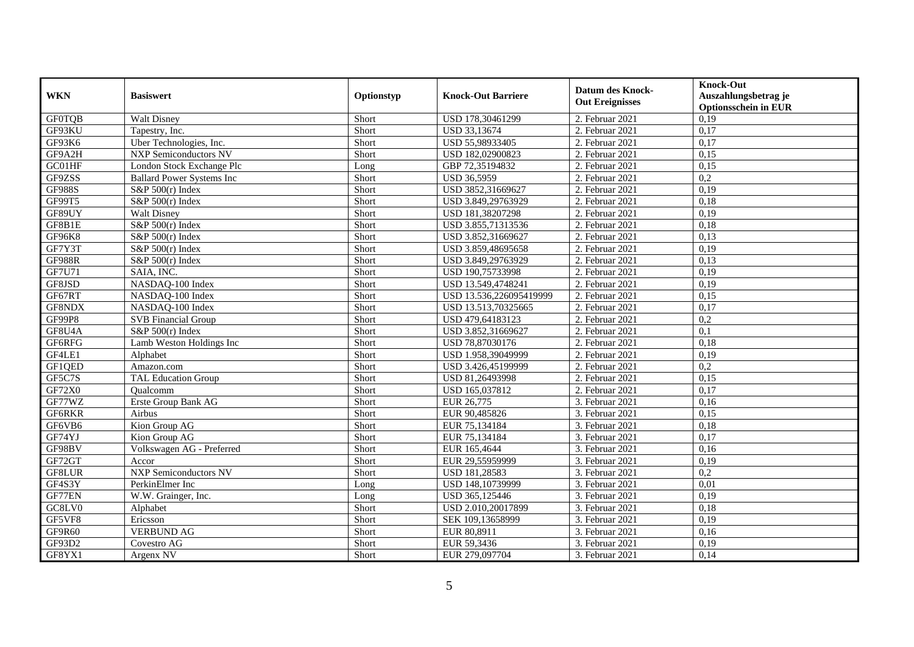| <b>WKN</b>    | <b>Basiswert</b>                 | Optionstyp | <b>Knock-Out Barriere</b> | <b>Datum des Knock-</b><br><b>Out Ereignisses</b> | <b>Knock-Out</b><br>Auszahlungsbetrag je<br><b>Optionsschein in EUR</b> |
|---------------|----------------------------------|------------|---------------------------|---------------------------------------------------|-------------------------------------------------------------------------|
| <b>GF0TQB</b> | <b>Walt Disney</b>               | Short      | USD 178,30461299          | 2. Februar 2021                                   | 0,19                                                                    |
| GF93KU        | Tapestry, Inc.                   | Short      | USD 33,13674              | 2. Februar 2021                                   | 0,17                                                                    |
| GF93K6        | Uber Technologies, Inc.          | Short      | USD 55,98933405           | 2. Februar 2021                                   | 0,17                                                                    |
| GF9A2H        | <b>NXP Semiconductors NV</b>     | Short      | USD 182,02900823          | 2. Februar 2021                                   | 0,15                                                                    |
| GC01HF        | London Stock Exchange Plc        | Long       | GBP 72,35194832           | 2. Februar 2021                                   | 0,15                                                                    |
| GF9ZSS        | <b>Ballard Power Systems Inc</b> | Short      | <b>USD 36,5959</b>        | 2. Februar 2021                                   | $\overline{0,2}$                                                        |
| <b>GF988S</b> | $S\&P 500(r)$ Index              | Short      | USD 3852,31669627         | 2. Februar 2021                                   | 0,19                                                                    |
| GF99T5        | S&P $500(r)$ Index               | Short      | USD 3.849,29763929        | 2. Februar 2021                                   | 0,18                                                                    |
| GF89UY        | Walt Disney                      | Short      | USD 181,38207298          | 2. Februar 2021                                   | 0,19                                                                    |
| GF8B1E        | S&P $500(r)$ Index               | Short      | USD 3.855,71313536        | 2. Februar 2021                                   | 0,18                                                                    |
| GF96K8        | $S\&P 500(r)$ Index              | Short      | USD 3.852,31669627        | 2. Februar 2021                                   | 0,13                                                                    |
| GF7Y3T        | S&P $500(r)$ Index               | Short      | USD 3.859,48695658        | 2. Februar 2021                                   | 0,19                                                                    |
| <b>GF988R</b> | S&P $500(r)$ Index               | Short      | USD 3.849,29763929        | 2. Februar 2021                                   | 0,13                                                                    |
| GF7U71        | SAIA, INC.                       | Short      | USD 190,75733998          | 2. Februar 2021                                   | 0,19                                                                    |
| GF8JSD        | NASDAQ-100 Index                 | Short      | USD 13.549,4748241        | 2. Februar 2021                                   | 0,19                                                                    |
| GF67RT        | NASDAQ-100 Index                 | Short      | USD 13.536,226095419999   | 2. Februar 2021                                   | 0,15                                                                    |
| GF8NDX        | NASDAQ-100 Index                 | Short      | USD 13.513,70325665       | 2. Februar 2021                                   | 0,17                                                                    |
| GF99P8        | <b>SVB</b> Financial Group       | Short      | USD 479,64183123          | 2. Februar 2021                                   | 0,2                                                                     |
| GF8U4A        | $S\&P 500(r)$ Index              | Short      | USD 3.852,31669627        | 2. Februar 2021                                   | 0,1                                                                     |
| GF6RFG        | Lamb Weston Holdings Inc         | Short      | USD 78,87030176           | 2. Februar 2021                                   | 0,18                                                                    |
| GF4LE1        | Alphabet                         | Short      | USD 1.958,39049999        | 2. Februar 2021                                   | 0,19                                                                    |
| GF1QED        | Amazon.com                       | Short      | USD 3.426,45199999        | 2. Februar 2021                                   | $\overline{0,2}$                                                        |
| GF5C7S        | <b>TAL Education Group</b>       | Short      | USD 81,26493998           | 2. Februar 2021                                   | 0,15                                                                    |
| GF72X0        | Qualcomm                         | Short      | USD 165,037812            | 2. Februar 2021                                   | 0,17                                                                    |
| GF77WZ        | Erste Group Bank AG              | Short      | EUR 26,775                | 3. Februar 2021                                   | 0,16                                                                    |
| GF6RKR        | Airbus                           | Short      | EUR 90,485826             | 3. Februar 2021                                   | 0,15                                                                    |
| GF6VB6        | Kion Group AG                    | Short      | EUR 75,134184             | 3. Februar 2021                                   | 0,18                                                                    |
| GF74YJ        | Kion Group AG                    | Short      | EUR 75,134184             | 3. Februar 2021                                   | 0,17                                                                    |
| GF98BV        | Volkswagen AG - Preferred        | Short      | EUR 165,4644              | 3. Februar 2021                                   | 0,16                                                                    |
| GF72GT        | Accor                            | Short      | EUR 29,55959999           | 3. Februar 2021                                   | 0,19                                                                    |
| GF8LUR        | <b>NXP Semiconductors NV</b>     | Short      | USD 181,28583             | 3. Februar 2021                                   | 0,2                                                                     |
| GF4S3Y        | PerkinElmer Inc                  | Long       | USD 148,10739999          | 3. Februar 2021                                   | 0.01                                                                    |
| GF77EN        | W.W. Grainger, Inc.              | Long       | USD 365,125446            | 3. Februar 2021                                   | 0,19                                                                    |
| GC8LV0        | Alphabet                         | Short      | USD 2.010,20017899        | 3. Februar 2021                                   | 0,18                                                                    |
| GF5VF8        | Ericsson                         | Short      | SEK 109,13658999          | 3. Februar 2021                                   | 0,19                                                                    |
| GF9R60        | <b>VERBUND AG</b>                | Short      | EUR 80,8911               | 3. Februar 2021                                   | 0,16                                                                    |
| GF93D2        | Covestro AG                      | Short      | EUR 59,3436               | 3. Februar 2021                                   | 0,19                                                                    |
| GF8YX1        | Argenx $N\overline{V}$           | Short      | EUR 279,097704            | 3. Februar 2021                                   | 0,14                                                                    |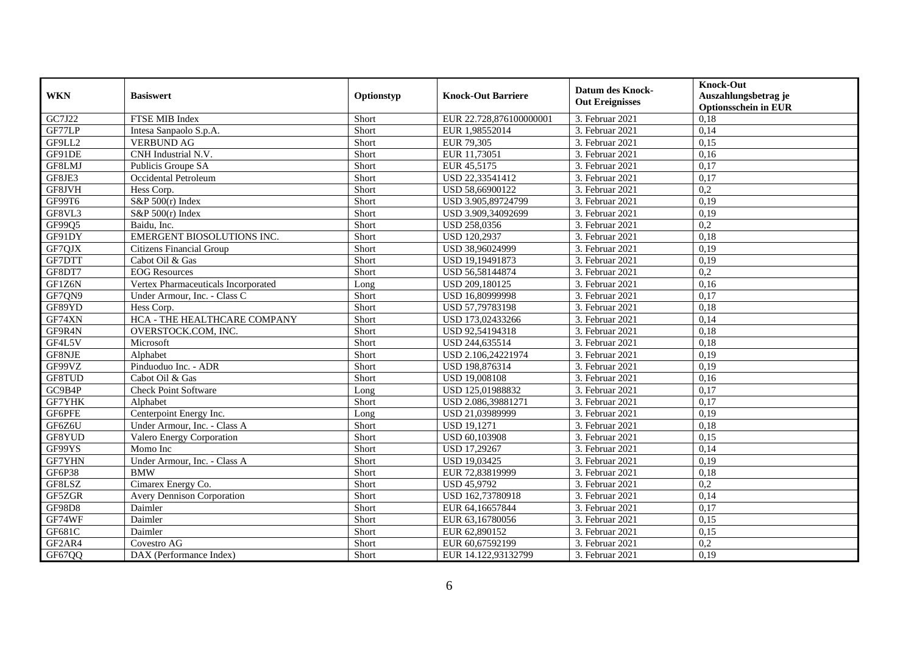| <b>WKN</b>    | <b>Basiswert</b>                    | Optionstyp | <b>Knock-Out Barriere</b> | <b>Datum des Knock-</b><br><b>Out Ereignisses</b> | <b>Knock-Out</b><br>Auszahlungsbetrag je<br><b>Optionsschein in EUR</b> |
|---------------|-------------------------------------|------------|---------------------------|---------------------------------------------------|-------------------------------------------------------------------------|
| GC7J22        | FTSE MIB Index                      | Short      | EUR 22.728,876100000001   | 3. Februar 2021                                   | 0,18                                                                    |
| GF77LP        | Intesa Sanpaolo S.p.A.              | Short      | EUR 1,98552014            | 3. Februar 2021                                   | 0,14                                                                    |
| GF9LL2        | <b>VERBUND AG</b>                   | Short      | EUR 79,305                | 3. Februar 2021                                   | 0,15                                                                    |
| GF91DE        | CNH Industrial N.V.                 | Short      | EUR 11,73051              | 3. Februar 2021                                   | 0,16                                                                    |
| GF8LMJ        | Publicis Groupe SA                  | Short      | EUR 45,5175               | 3. Februar 2021                                   | 0,17                                                                    |
| GF8JE3        | Occidental Petroleum                | Short      | USD 22,33541412           | 3. Februar 2021                                   | 0,17                                                                    |
| GF8JVH        | Hess Corp.                          | Short      | USD 58,66900122           | 3. Februar 2021                                   | 0,2                                                                     |
| GF99T6        | S&P $500(r)$ Index                  | Short      | USD 3.905,89724799        | 3. Februar 2021                                   | 0,19                                                                    |
| GF8VL3        | S&P $500(r)$ Index                  | Short      | USD 3.909,34092699        | 3. Februar 2021                                   | 0,19                                                                    |
| GF99Q5        | Baidu, Inc.                         | Short      | USD 258,0356              | 3. Februar 2021                                   | $\overline{0,2}$                                                        |
| GF91DY        | EMERGENT BIOSOLUTIONS INC.          | Short      | <b>USD 120,2937</b>       | 3. Februar 2021                                   | 0,18                                                                    |
| GF7QJX        | <b>Citizens Financial Group</b>     | Short      | USD 38,96024999           | 3. Februar 2021                                   | 0,19                                                                    |
| GF7DTT        | Cabot Oil & Gas                     | Short      | USD 19,19491873           | 3. Februar 2021                                   | 0,19                                                                    |
| GF8DT7        | <b>EOG</b> Resources                | Short      | USD 56,58144874           | 3. Februar 2021                                   | 0,2                                                                     |
| GF1Z6N        | Vertex Pharmaceuticals Incorporated | Long       | USD 209,180125            | 3. Februar 2021                                   | 0,16                                                                    |
| GF7QN9        | Under Armour, Inc. - Class C        | Short      | USD 16,80999998           | 3. Februar 2021                                   | 0,17                                                                    |
| GF89YD        | Hess Corp.                          | Short      | USD 57,79783198           | 3. Februar 2021                                   | 0,18                                                                    |
| GF74XN        | HCA - THE HEALTHCARE COMPANY        | Short      | USD 173,02433266          | 3. Februar 2021                                   | 0.14                                                                    |
| GF9R4N        | OVERSTOCK.COM, INC.                 | Short      | USD 92,54194318           | 3. Februar 2021                                   | 0,18                                                                    |
| GF4L5V        | Microsoft                           | Short      | USD 244,635514            | 3. Februar 2021                                   | 0,18                                                                    |
| GF8NJE        | Alphabet                            | Short      | USD 2.106,24221974        | 3. Februar 2021                                   | 0,19                                                                    |
| GF99VZ        | Pinduoduo Inc. - ADR                | Short      | USD 198,876314            | 3. Februar 2021                                   | 0,19                                                                    |
| GF8TUD        | Cabot Oil & Gas                     | Short      | USD 19,008108             | 3. Februar 2021                                   | 0,16                                                                    |
| GC9B4P        | <b>Check Point Software</b>         | Long       | USD 125,01988832          | 3. Februar 2021                                   | 0,17                                                                    |
| <b>GF7YHK</b> | Alphabet                            | Short      | USD 2.086,39881271        | 3. Februar 2021                                   | 0,17                                                                    |
| GF6PFE        | Centerpoint Energy Inc.             | Long       | USD 21,03989999           | 3. Februar 2021                                   | 0,19                                                                    |
| GF6Z6U        | Under Armour, Inc. - Class A        | Short      | <b>USD 19,1271</b>        | 3. Februar 2021                                   | 0,18                                                                    |
| GF8YUD        | Valero Energy Corporation           | Short      | <b>USD 60.103908</b>      | 3. Februar 2021                                   | 0,15                                                                    |
| GF99YS        | Momo Inc                            | Short      | USD 17,29267              | 3. Februar 2021                                   | 0,14                                                                    |
| <b>GF7YHN</b> | Under Armour, Inc. - Class A        | Short      | <b>USD 19,03425</b>       | 3. Februar 2021                                   | 0,19                                                                    |
| GF6P38        | <b>BMW</b>                          | Short      | EUR 72,83819999           | 3. Februar 2021                                   | 0,18                                                                    |
| GF8LSZ        | Cimarex Energy Co.                  | Short      | <b>USD 45,9792</b>        | 3. Februar 2021                                   | 0,2                                                                     |
| GF5ZGR        | <b>Avery Dennison Corporation</b>   | Short      | USD 162,73780918          | 3. Februar 2021                                   | 0,14                                                                    |
| <b>GF98D8</b> | Daimler                             | Short      | EUR 64,16657844           | 3. Februar 2021                                   | 0,17                                                                    |
| GF74WF        | Daimler                             | Short      | EUR 63,16780056           | 3. Februar 2021                                   | 0,15                                                                    |
| GF681C        | Daimler                             | Short      | EUR 62,890152             | 3. Februar 2021                                   | 0,15                                                                    |
| GF2AR4        | Covestro AG                         | Short      | EUR 60,67592199           | 3. Februar 2021                                   | 0,2                                                                     |
| GF67QQ        | DAX (Performance Index)             | Short      | EUR 14.122,93132799       | 3. Februar 2021                                   | 0,19                                                                    |